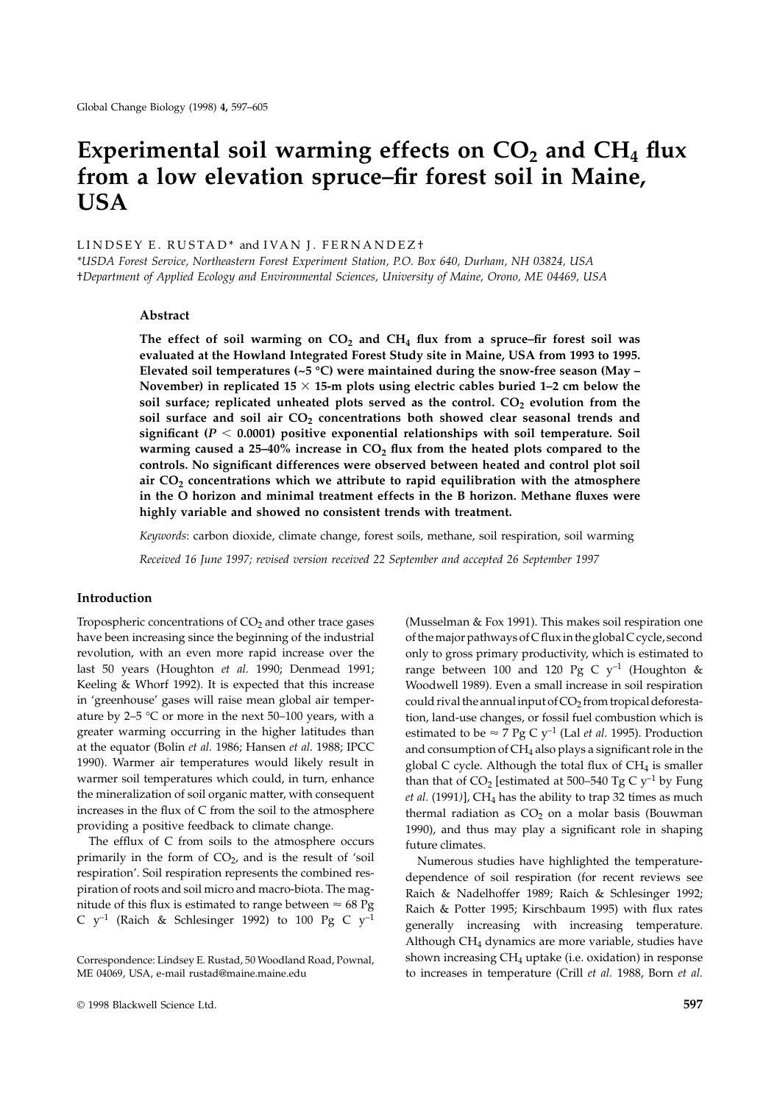# Experimental soil warming effects on  $CO<sub>2</sub>$  and  $CH<sub>4</sub>$  flux **from a low elevation spruce–fir forest soil in Maine, USA**

# L I N D S E Y E. R U S T A D \* and I V A N J. F E R N A N D E Z +

*\*USDA Forest Service, Northeastern Forest Experiment Station, P.O. Box 640, Durham, NH 03824, USA* †*Department of Applied Ecology and Environmental Sciences, University of Maine, Orono, ME 04469, USA*

#### **Abstract**

The effect of soil warming on  $CO<sub>2</sub>$  and  $CH<sub>4</sub>$  flux from a spruce–fir forest soil was **evaluated at the Howland Integrated Forest Study site in Maine, USA from 1993 to 1995. Elevated soil temperatures (~5 °C) were maintained during the snow-free season (May –** November) in replicated  $15 \times 15$ -m plots using electric cables buried  $1-2$  cm below the soil surface; replicated unheated plots served as the control. CO<sub>2</sub> evolution from the soil surface and soil air CO<sub>2</sub> concentrations both showed clear seasonal trends and significant ( $P < 0.0001$ ) positive exponential relationships with soil temperature. Soil warming caused a 25–40% increase in  $CO<sub>2</sub>$  flux from the heated plots compared to the **controls. No significant differences were observed between heated and control plot soil air CO2 concentrations which we attribute to rapid equilibration with the atmosphere in the O horizon and minimal treatment effects in the B horizon. Methane fluxes were highly variable and showed no consistent trends with treatment.**

*Keywords*: carbon dioxide, climate change, forest soils, methane, soil respiration, soil warming

*Received 16 June 1997; revised version received 22 September and accepted 26 September 1997*

### **Introduction**

Tropospheric concentrations of  $CO<sub>2</sub>$  and other trace gases have been increasing since the beginning of the industrial revolution, with an even more rapid increase over the last 50 years (Houghton *et al.* 1990; Denmead 1991; Keeling & Whorf 1992). It is expected that this increase in 'greenhouse' gases will raise mean global air temperature by 2–5  $\degree$ C or more in the next 50–100 years, with a greater warming occurring in the higher latitudes than at the equator (Bolin *et al.* 1986; Hansen *et al.* 1988; IPCC 1990). Warmer air temperatures would likely result in warmer soil temperatures which could, in turn, enhance the mineralization of soil organic matter, with consequent increases in the flux of C from the soil to the atmosphere providing a positive feedback to climate change.

The efflux of C from soils to the atmosphere occurs primarily in the form of  $CO<sub>2</sub>$ , and is the result of 'soil respiration'. Soil respiration represents the combined respiration of roots and soil micro and macro-biota. The magnitude of this flux is estimated to range between  $\approx 68 \text{ pg}$ C  $y^{-1}$  (Raich & Schlesinger 1992) to 100 Pg C  $y^{-1}$ 

(Musselman & Fox 1991). This makes soil respiration one of the major pathways of C flux in the global C cycle, second only to gross primary productivity, which is estimated to range between 100 and 120 Pg C  $y^{-1}$  (Houghton & Woodwell 1989). Even a small increase in soil respiration could rival the annual input of  $CO<sub>2</sub>$  from tropical deforestation, land-use changes, or fossil fuel combustion which is estimated to be  $\approx$  7 Pg C y<sup>-1</sup> (Lal *et al.* 1995). Production and consumption of  $CH<sub>4</sub>$  also plays a significant role in the global C cycle. Although the total flux of  $CH<sub>4</sub>$  is smaller than that of  $CO<sub>2</sub>$  [estimated at 500–540 Tg C  $y<sup>-1</sup>$  by Fung  $et al. (1991)$ ],  $CH<sub>4</sub>$  has the ability to trap 32 times as much thermal radiation as  $CO<sub>2</sub>$  on a molar basis (Bouwman 1990), and thus may play a significant role in shaping future climates.

Numerous studies have highlighted the temperaturedependence of soil respiration (for recent reviews see Raich & Nadelhoffer 1989; Raich & Schlesinger 1992; Raich & Potter 1995; Kirschbaum 1995) with flux rates generally increasing with increasing temperature. Although  $CH<sub>4</sub>$  dynamics are more variable, studies have shown increasing CH4 uptake (i.e. oxidation) in response to increases in temperature (Crill *et al.* 1988, Born *et al.*

Correspondence: Lindsey E. Rustad, 50 Woodland Road, Pownal, ME 04069, USA, e-mail rustad@maine.maine.edu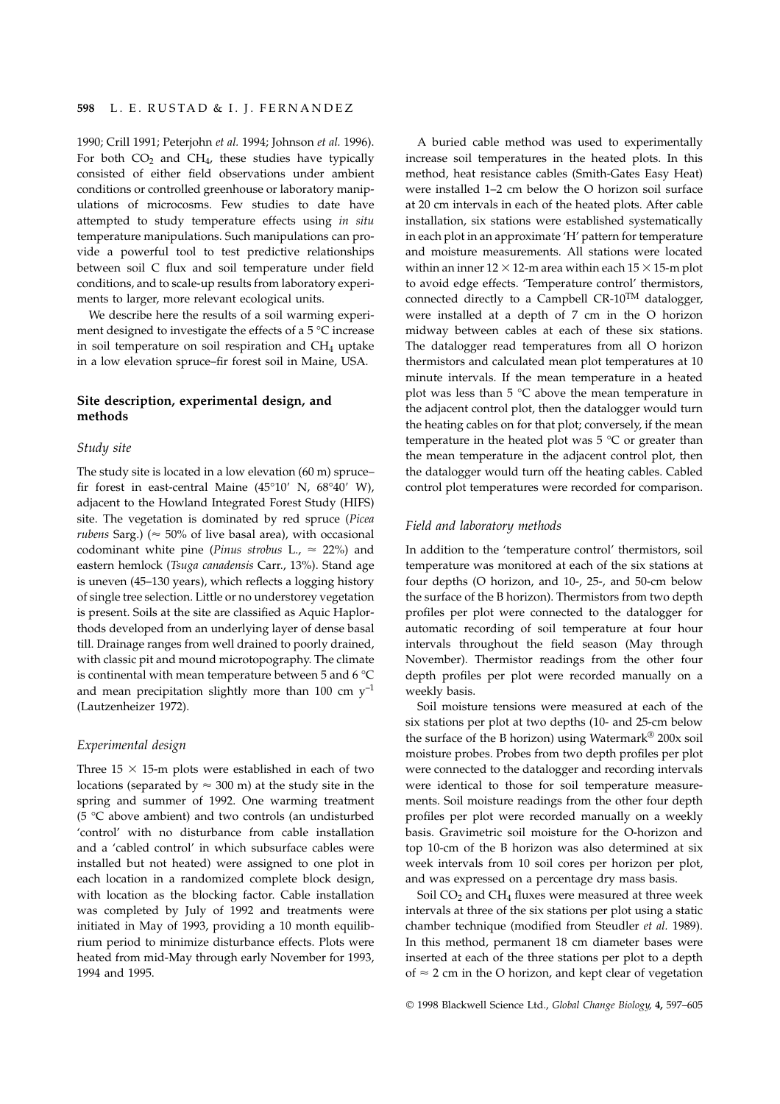1990; Crill 1991; Peterjohn *et al.* 1994; Johnson *et al.* 1996). For both  $CO<sub>2</sub>$  and  $CH<sub>4</sub>$ , these studies have typically consisted of either field observations under ambient conditions or controlled greenhouse or laboratory manipulations of microcosms. Few studies to date have attempted to study temperature effects using *in situ* temperature manipulations. Such manipulations can provide a powerful tool to test predictive relationships between soil C flux and soil temperature under field conditions, and to scale-up results from laboratory experiments to larger, more relevant ecological units.

We describe here the results of a soil warming experiment designed to investigate the effects of a 5 °C increase in soil temperature on soil respiration and  $CH<sub>4</sub>$  uptake in a low elevation spruce–fir forest soil in Maine, USA.

# **Site description, experimental design, and methods**

#### *Study site*

The study site is located in a low elevation (60 m) spruce– fir forest in east-central Maine (45°10′ N,  $68°40'$  W), adjacent to the Howland Integrated Forest Study (HIFS) site. The vegetation is dominated by red spruce (*Picea rubens* Sarg.) ( $\approx$  50% of live basal area), with occasional codominant white pine (*Pinus strobus* L.,  $\approx$  22%) and eastern hemlock (*Tsuga canadensis* Carr., 13%). Stand age is uneven (45–130 years), which reflects a logging history of single tree selection. Little or no understorey vegetation is present. Soils at the site are classified as Aquic Haplorthods developed from an underlying layer of dense basal till. Drainage ranges from well drained to poorly drained, with classic pit and mound microtopography. The climate is continental with mean temperature between 5 and 6 °C and mean precipitation slightly more than 100 cm  $y^{-1}$ (Lautzenheizer 1972).

#### *Experimental design*

Three  $15 \times 15$ -m plots were established in each of two locations (separated by  $\approx 300$  m) at the study site in the spring and summer of 1992. One warming treatment (5 °C above ambient) and two controls (an undisturbed 'control' with no disturbance from cable installation and a 'cabled control' in which subsurface cables were installed but not heated) were assigned to one plot in each location in a randomized complete block design, with location as the blocking factor. Cable installation was completed by July of 1992 and treatments were initiated in May of 1993, providing a 10 month equilibrium period to minimize disturbance effects. Plots were heated from mid-May through early November for 1993, 1994 and 1995.

A buried cable method was used to experimentally increase soil temperatures in the heated plots. In this method, heat resistance cables (Smith-Gates Easy Heat) were installed 1–2 cm below the O horizon soil surface at 20 cm intervals in each of the heated plots. After cable installation, six stations were established systematically in each plot in an approximate 'H' pattern for temperature and moisture measurements. All stations were located within an inner  $12 \times 12$ -m area within each  $15 \times 15$ -m plot to avoid edge effects. 'Temperature control' thermistors, connected directly to a Campbell CR-10<sup>TM</sup> datalogger, were installed at a depth of 7 cm in the O horizon midway between cables at each of these six stations. The datalogger read temperatures from all O horizon thermistors and calculated mean plot temperatures at 10 minute intervals. If the mean temperature in a heated plot was less than  $5^{\circ}$ C above the mean temperature in the adjacent control plot, then the datalogger would turn the heating cables on for that plot; conversely, if the mean temperature in the heated plot was  $5^{\circ}$ C or greater than the mean temperature in the adjacent control plot, then the datalogger would turn off the heating cables. Cabled control plot temperatures were recorded for comparison.

## *Field and laboratory methods*

In addition to the 'temperature control' thermistors, soil temperature was monitored at each of the six stations at four depths (O horizon, and 10-, 25-, and 50-cm below the surface of the B horizon). Thermistors from two depth profiles per plot were connected to the datalogger for automatic recording of soil temperature at four hour intervals throughout the field season (May through November). Thermistor readings from the other four depth profiles per plot were recorded manually on a weekly basis.

Soil moisture tensions were measured at each of the six stations per plot at two depths (10- and 25-cm below the surface of the B horizon) using Watermark® 200x soil moisture probes. Probes from two depth profiles per plot were connected to the datalogger and recording intervals were identical to those for soil temperature measurements. Soil moisture readings from the other four depth profiles per plot were recorded manually on a weekly basis. Gravimetric soil moisture for the O-horizon and top 10-cm of the B horizon was also determined at six week intervals from 10 soil cores per horizon per plot, and was expressed on a percentage dry mass basis.

Soil  $CO<sub>2</sub>$  and  $CH<sub>4</sub>$  fluxes were measured at three week intervals at three of the six stations per plot using a static chamber technique (modified from Steudler *et al.* 1989). In this method, permanent 18 cm diameter bases were inserted at each of the three stations per plot to a depth of  $\approx$  2 cm in the O horizon, and kept clear of vegetation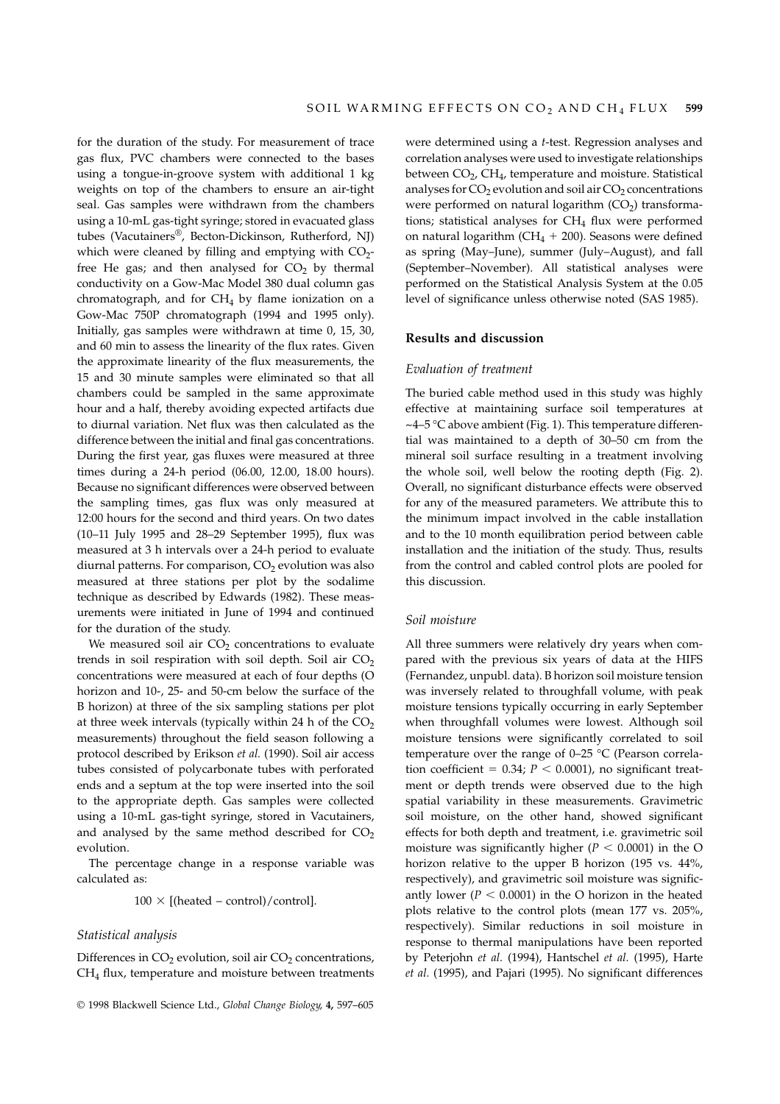for the duration of the study. For measurement of trace gas flux, PVC chambers were connected to the bases using a tongue-in-groove system with additional 1 kg weights on top of the chambers to ensure an air-tight seal. Gas samples were withdrawn from the chambers using a 10-mL gas-tight syringe; stored in evacuated glass tubes (Vacutainers®, Becton-Dickinson, Rutherford, NJ) which were cleaned by filling and emptying with  $CO<sub>2</sub>$ free He gas; and then analysed for  $CO<sub>2</sub>$  by thermal conductivity on a Gow-Mac Model 380 dual column gas chromatograph, and for  $CH<sub>4</sub>$  by flame ionization on a Gow-Mac 750P chromatograph (1994 and 1995 only). Initially, gas samples were withdrawn at time 0, 15, 30, and 60 min to assess the linearity of the flux rates. Given the approximate linearity of the flux measurements, the 15 and 30 minute samples were eliminated so that all chambers could be sampled in the same approximate hour and a half, thereby avoiding expected artifacts due to diurnal variation. Net flux was then calculated as the difference between the initial and final gas concentrations. During the first year, gas fluxes were measured at three times during a 24-h period (06.00, 12.00, 18.00 hours). Because no significant differences were observed between the sampling times, gas flux was only measured at 12:00 hours for the second and third years. On two dates (10–11 July 1995 and 28–29 September 1995), flux was measured at 3 h intervals over a 24-h period to evaluate diurnal patterns. For comparison,  $CO<sub>2</sub>$  evolution was also measured at three stations per plot by the sodalime technique as described by Edwards (1982). These measurements were initiated in June of 1994 and continued for the duration of the study.

We measured soil air  $CO<sub>2</sub>$  concentrations to evaluate trends in soil respiration with soil depth. Soil air  $CO<sub>2</sub>$ concentrations were measured at each of four depths (O horizon and 10-, 25- and 50-cm below the surface of the B horizon) at three of the six sampling stations per plot at three week intervals (typically within 24 h of the  $CO<sub>2</sub>$ measurements) throughout the field season following a protocol described by Erikson *et al.* (1990). Soil air access tubes consisted of polycarbonate tubes with perforated ends and a septum at the top were inserted into the soil to the appropriate depth. Gas samples were collected using a 10-mL gas-tight syringe, stored in Vacutainers, and analysed by the same method described for  $CO<sub>2</sub>$ evolution.

The percentage change in a response variable was calculated as:

 $100 \times$  [(heated – control)/control].

#### *Statistical analysis*

Differences in  $CO<sub>2</sub>$  evolution, soil air  $CO<sub>2</sub>$  concentrations, CH4 flux, temperature and moisture between treatments were determined using a *t*-test. Regression analyses and correlation analyses were used to investigate relationships between  $CO<sub>2</sub>$ ,  $CH<sub>4</sub>$ , temperature and moisture. Statistical analyses for  $CO<sub>2</sub>$  evolution and soil air  $CO<sub>2</sub>$  concentrations were performed on natural logarithm  $(CO<sub>2</sub>)$  transformations; statistical analyses for  $CH<sub>4</sub>$  flux were performed on natural logarithm ( $CH<sub>4</sub> + 200$ ). Seasons were defined as spring (May–June), summer (July–August), and fall (September–November). All statistical analyses were performed on the Statistical Analysis System at the 0.05 level of significance unless otherwise noted (SAS 1985).

## **Results and discussion**

## *Evaluation of treatment*

The buried cable method used in this study was highly effective at maintaining surface soil temperatures at  $\sim$ 4–5 °C above ambient (Fig. 1). This temperature differential was maintained to a depth of 30–50 cm from the mineral soil surface resulting in a treatment involving the whole soil, well below the rooting depth (Fig. 2). Overall, no significant disturbance effects were observed for any of the measured parameters. We attribute this to the minimum impact involved in the cable installation and to the 10 month equilibration period between cable installation and the initiation of the study. Thus, results from the control and cabled control plots are pooled for this discussion.

#### *Soil moisture*

All three summers were relatively dry years when compared with the previous six years of data at the HIFS (Fernandez, unpubl. data). B horizon soil moisture tension was inversely related to throughfall volume, with peak moisture tensions typically occurring in early September when throughfall volumes were lowest. Although soil moisture tensions were significantly correlated to soil temperature over the range of 0–25 °C (Pearson correlation coefficient =  $0.34$ ;  $P < 0.0001$ ), no significant treatment or depth trends were observed due to the high spatial variability in these measurements. Gravimetric soil moisture, on the other hand, showed significant effects for both depth and treatment, i.e. gravimetric soil moisture was significantly higher ( $P < 0.0001$ ) in the O horizon relative to the upper B horizon (195 vs. 44%, respectively), and gravimetric soil moisture was significantly lower ( $P < 0.0001$ ) in the O horizon in the heated plots relative to the control plots (mean 177 vs. 205%, respectively). Similar reductions in soil moisture in response to thermal manipulations have been reported by Peterjohn *et al.* (1994), Hantschel *et al.* (1995), Harte *et al.* (1995), and Pajari (1995). No significant differences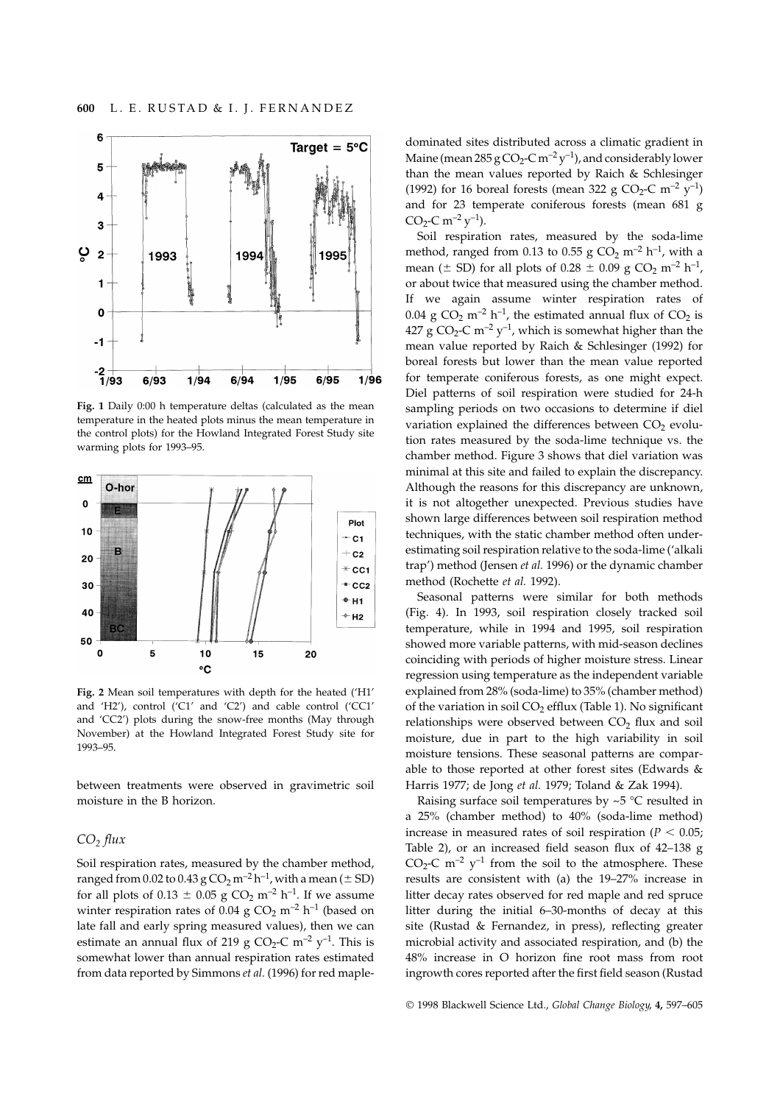

**Fig. 1** Daily 0:00 h temperature deltas (calculated as the mean temperature in the heated plots minus the mean temperature in the control plots) for the Howland Integrated Forest Study site warming plots for 1993–95.



**Fig. 2** Mean soil temperatures with depth for the heated ('H1' and 'H2'), control ('C1' and 'C2') and cable control ('CC1' and 'CC2') plots during the snow-free months (May through November) at the Howland Integrated Forest Study site for 1993–95.

between treatments were observed in gravimetric soil moisture in the B horizon.

## *CO2 flux*

Soil respiration rates, measured by the chamber method, ranged from 0.02 to 0.43 g CO<sub>2</sub> m<sup>-2</sup> h<sup>-1</sup>, with a mean ( $\pm$  SD) for all plots of 0.13  $\pm$  0.05 g CO<sub>2</sub> m<sup>-2</sup> h<sup>-1</sup>. If we assume winter respiration rates of 0.04 g  $CO<sub>2</sub>$  m<sup>-2</sup> h<sup>-1</sup> (based on late fall and early spring measured values), then we can estimate an annual flux of 219 g CO<sub>2</sub>-C m<sup>-2</sup> y<sup>-1</sup>. This is somewhat lower than annual respiration rates estimated from data reported by Simmons *et al.* (1996) for red mapledominated sites distributed across a climatic gradient in Maine (mean  $285 g CO<sub>2</sub>-C m<sup>-2</sup> y<sup>-1</sup>$ ), and considerably lower than the mean values reported by Raich & Schlesinger (1992) for 16 boreal forests (mean 322 g CO<sub>2</sub>-C m<sup>-2</sup> y<sup>-1</sup>) and for 23 temperate coniferous forests (mean 681 g  $CO_2$ -C m<sup>-2</sup> y<sup>-1</sup>).

Soil respiration rates, measured by the soda-lime method, ranged from 0.13 to 0.55 g CO<sub>2</sub> m<sup>-2</sup> h<sup>-1</sup>, with a mean ( $\pm$  SD) for all plots of 0.28  $\pm$  0.09 g CO<sub>2</sub> m<sup>-2</sup> h<sup>-1</sup>, or about twice that measured using the chamber method. If we again assume winter respiration rates of 0.04 g CO<sub>2</sub> m<sup>-2</sup> h<sup>-1</sup>, the estimated annual flux of CO<sub>2</sub> is 427 g CO<sub>2</sub>-C m<sup>-2</sup> y<sup>-1</sup>, which is somewhat higher than the mean value reported by Raich & Schlesinger (1992) for boreal forests but lower than the mean value reported for temperate coniferous forests, as one might expect. Diel patterns of soil respiration were studied for 24-h sampling periods on two occasions to determine if diel variation explained the differences between  $CO<sub>2</sub>$  evolution rates measured by the soda-lime technique vs. the chamber method. Figure 3 shows that diel variation was minimal at this site and failed to explain the discrepancy. Although the reasons for this discrepancy are unknown, it is not altogether unexpected. Previous studies have shown large differences between soil respiration method techniques, with the static chamber method often underestimating soil respiration relative to the soda-lime ('alkali trap') method (Jensen *et al.* 1996) or the dynamic chamber method (Rochette *et al.* 1992).

Seasonal patterns were similar for both methods (Fig. 4). In 1993, soil respiration closely tracked soil temperature, while in 1994 and 1995, soil respiration showed more variable patterns, with mid-season declines coinciding with periods of higher moisture stress. Linear regression using temperature as the independent variable explained from 28% (soda-lime) to 35% (chamber method) of the variation in soil  $CO<sub>2</sub>$  efflux (Table 1). No significant relationships were observed between  $CO<sub>2</sub>$  flux and soil moisture, due in part to the high variability in soil moisture tensions. These seasonal patterns are comparable to those reported at other forest sites (Edwards & Harris 1977; de Jong *et al.* 1979; Toland & Zak 1994).

Raising surface soil temperatures by  $\sim$  5 °C resulted in a 25% (chamber method) to 40% (soda-lime method) increase in measured rates of soil respiration ( $P < 0.05$ ; Table 2), or an increased field season flux of 42–138 g  $CO_2$ -C m<sup>-2</sup> y<sup>-1</sup> from the soil to the atmosphere. These results are consistent with (a) the 19–27% increase in litter decay rates observed for red maple and red spruce litter during the initial 6–30-months of decay at this site (Rustad & Fernandez, in press), reflecting greater microbial activity and associated respiration, and (b) the 48% increase in O horizon fine root mass from root ingrowth cores reported after the first field season (Rustad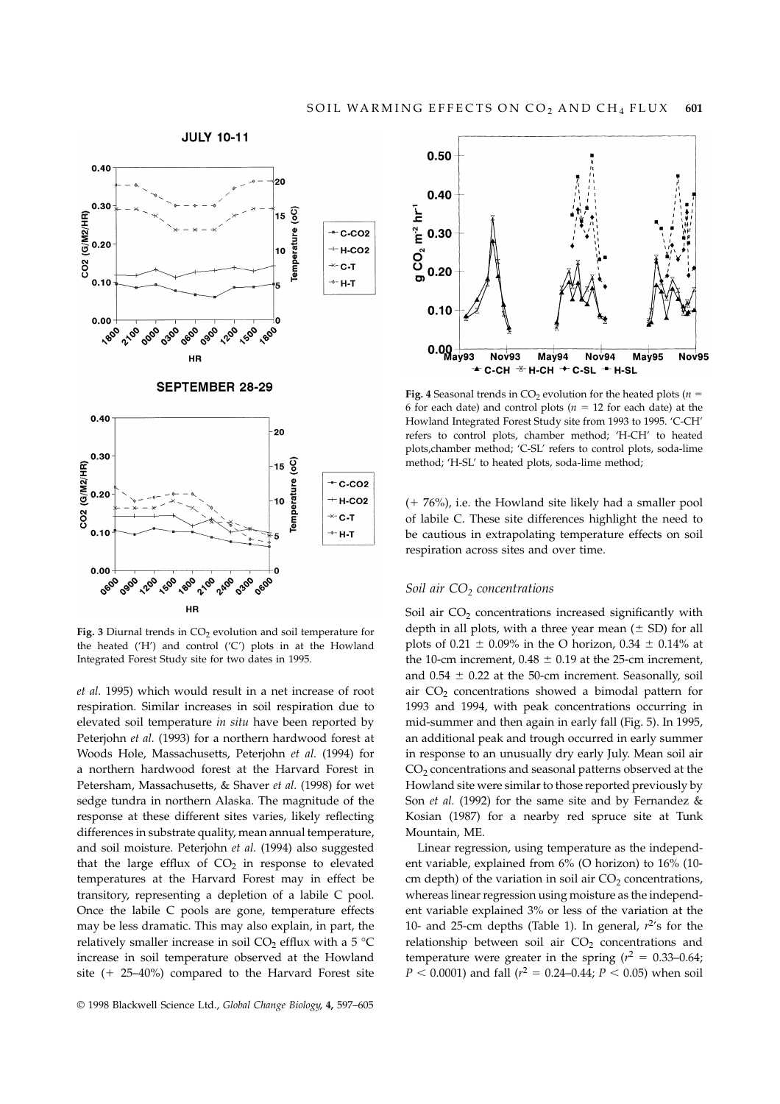

Fig. 3 Diurnal trends in CO<sub>2</sub> evolution and soil temperature for the heated ('H') and control ('C') plots in at the Howland Integrated Forest Study site for two dates in 1995.

*et al.* 1995) which would result in a net increase of root respiration. Similar increases in soil respiration due to elevated soil temperature *in situ* have been reported by Peterjohn *et al.* (1993) for a northern hardwood forest at Woods Hole, Massachusetts, Peterjohn *et al.* (1994) for a northern hardwood forest at the Harvard Forest in Petersham, Massachusetts, & Shaver *et al.* (1998) for wet sedge tundra in northern Alaska. The magnitude of the response at these different sites varies, likely reflecting differences in substrate quality, mean annual temperature, and soil moisture. Peterjohn *et al.* (1994) also suggested that the large efflux of  $CO<sub>2</sub>$  in response to elevated temperatures at the Harvard Forest may in effect be transitory, representing a depletion of a labile C pool. Once the labile C pools are gone, temperature effects may be less dramatic. This may also explain, in part, the relatively smaller increase in soil CO<sub>2</sub> efflux with a 5  $^{\circ}$ C increase in soil temperature observed at the Howland site  $(+ 25-40\%)$  compared to the Harvard Forest site



**Fig. 4** Seasonal trends in CO<sub>2</sub> evolution for the heated plots ( $n =$ 6 for each date) and control plots ( $n = 12$  for each date) at the Howland Integrated Forest Study site from 1993 to 1995. 'C-CH' refers to control plots, chamber method; 'H-CH' to heated plots,chamber method; 'C-SL' refers to control plots, soda-lime method; 'H-SL' to heated plots, soda-lime method;

 $(+ 76%)$ , i.e. the Howland site likely had a smaller pool of labile C. These site differences highlight the need to be cautious in extrapolating temperature effects on soil respiration across sites and over time.

## *Soil air CO2 concentrations*

Soil air  $CO<sub>2</sub>$  concentrations increased significantly with depth in all plots, with a three year mean  $(± SD)$  for all plots of 0.21  $\pm$  0.09% in the O horizon, 0.34  $\pm$  0.14% at the 10-cm increment, 0.48  $\pm$  0.19 at the 25-cm increment, and  $0.54 \pm 0.22$  at the 50-cm increment. Seasonally, soil air  $CO<sub>2</sub>$  concentrations showed a bimodal pattern for 1993 and 1994, with peak concentrations occurring in mid-summer and then again in early fall (Fig. 5). In 1995, an additional peak and trough occurred in early summer in response to an unusually dry early July. Mean soil air  $CO<sub>2</sub>$  concentrations and seasonal patterns observed at the Howland site were similar to those reported previously by Son *et al.* (1992) for the same site and by Fernandez & Kosian (1987) for a nearby red spruce site at Tunk Mountain, ME.

Linear regression, using temperature as the independent variable, explained from 6% (O horizon) to 16% (10 cm depth) of the variation in soil air  $CO<sub>2</sub>$  concentrations, whereas linear regression using moisture as the independent variable explained 3% or less of the variation at the 10- and 25-cm depths (Table 1). In general,  $r^2$ 's for the relationship between soil air  $CO<sub>2</sub>$  concentrations and temperature were greater in the spring  $(r^2 = 0.33 - 0.64)$ ;  $P < 0.0001$ ) and fall ( $r^2 = 0.24$ –0.44;  $P < 0.05$ ) when soil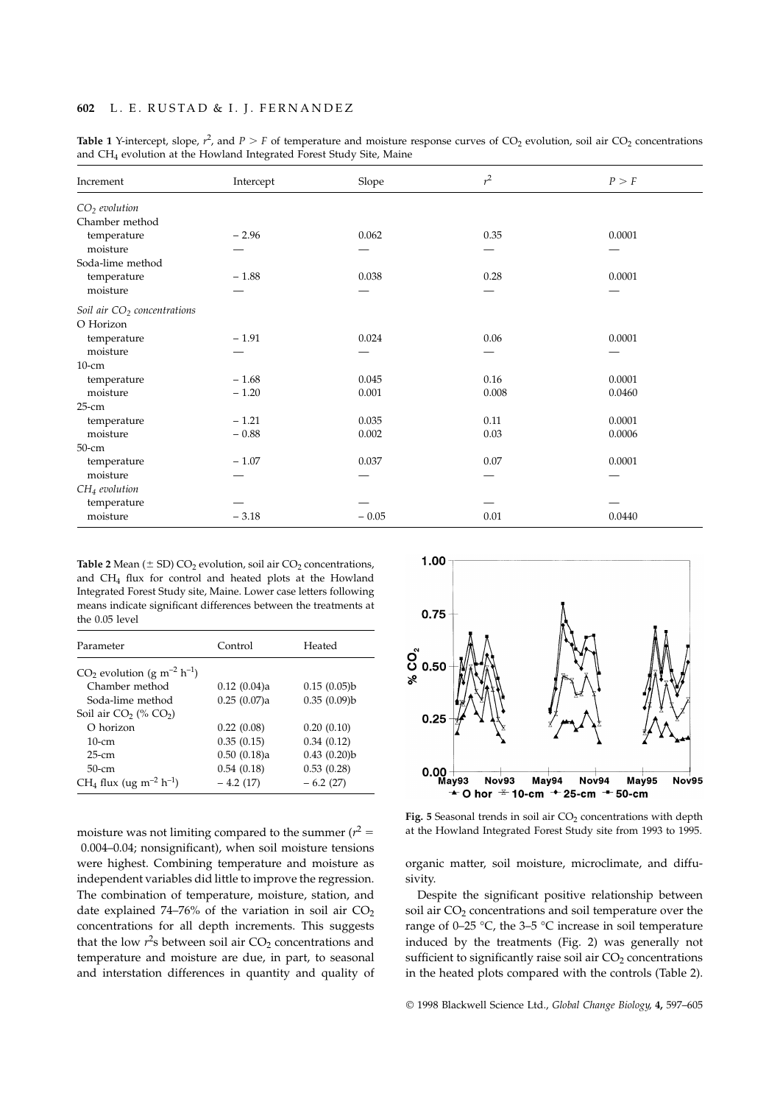# **602** L. E. RUSTAD & I. J. FERNANDEZ

| Increment                     | Intercept | Slope   | $r^2$ | P > F  |
|-------------------------------|-----------|---------|-------|--------|
| $CO2$ evolution               |           |         |       |        |
| Chamber method                |           |         |       |        |
| temperature                   | $-2.96$   | 0.062   | 0.35  | 0.0001 |
| moisture                      |           |         |       |        |
| Soda-lime method              |           |         |       |        |
| temperature                   | $-1.88$   | 0.038   | 0.28  | 0.0001 |
| moisture                      |           |         |       |        |
| Soil air $CO2$ concentrations |           |         |       |        |
| O Horizon                     |           |         |       |        |
| temperature                   | $-1.91$   | 0.024   | 0.06  | 0.0001 |
| moisture                      |           |         |       |        |
| $10$ -cm                      |           |         |       |        |
| temperature                   | $-1.68$   | 0.045   | 0.16  | 0.0001 |
| moisture                      | $-1.20$   | 0.001   | 0.008 | 0.0460 |
| $25-cm$                       |           |         |       |        |
| temperature                   | $-1.21$   | 0.035   | 0.11  | 0.0001 |
| moisture                      | $-0.88$   | 0.002   | 0.03  | 0.0006 |
| $50$ -cm                      |           |         |       |        |
| temperature                   | $-1.07$   | 0.037   | 0.07  | 0.0001 |
| moisture                      |           |         |       |        |
| $CH4$ evolution               |           |         |       |        |
| temperature                   |           |         |       |        |
| moisture                      | $-3.18$   | $-0.05$ | 0.01  | 0.0440 |

**Table 1** Y-intercept, slope,  $r^2$ , and  $P > F$  of temperature and moisture response curves of CO<sub>2</sub> evolution, soil air CO<sub>2</sub> concentrations and CH4 evolution at the Howland Integrated Forest Study Site, Maine

**Table 2** Mean ( $\pm$  SD) CO<sub>2</sub> evolution, soil air CO<sub>2</sub> concentrations, and CH4 flux for control and heated plots at the Howland Integrated Forest Study site, Maine. Lower case letters following means indicate significant differences between the treatments at the 0.05 level

| Parameter                                            | Control     | Heated      |
|------------------------------------------------------|-------------|-------------|
| $CO2$ evolution (g m <sup>-2</sup> h <sup>-1</sup> ) |             |             |
| Chamber method                                       | 0.12(0.04)a | 0.15(0.05)b |
| Soda-lime method                                     | 0.25(0.07)a | 0.35(0.09)b |
| Soil air $CO2$ (% $CO2$ )                            |             |             |
| O horizon                                            | 0.22(0.08)  | 0.20(0.10)  |
| $10$ -cm                                             | 0.35(0.15)  | 0.34(0.12)  |
| $25$ -cm                                             | 0.50(0.18)a | 0.43(0.20)b |
| $50$ -cm                                             | 0.54(0.18)  | 0.53(0.28)  |
| $CH_4$ flux (ug m <sup>-2</sup> h <sup>-1</sup> )    | $-4.2(17)$  | $-6.2(27)$  |

moisture was not limiting compared to the summer  $(r^2 =$ 0.004–0.04; nonsignificant), when soil moisture tensions were highest. Combining temperature and moisture as independent variables did little to improve the regression. The combination of temperature, moisture, station, and date explained 74–76% of the variation in soil air  $CO<sub>2</sub>$ concentrations for all depth increments. This suggests that the low  $r^2$ s between soil air  $CO_2$  concentrations and temperature and moisture are due, in part, to seasonal and interstation differences in quantity and quality of



Fig. 5 Seasonal trends in soil air CO<sub>2</sub> concentrations with depth at the Howland Integrated Forest Study site from 1993 to 1995.

organic matter, soil moisture, microclimate, and diffusivity.

Despite the significant positive relationship between soil air CO<sub>2</sub> concentrations and soil temperature over the range of 0–25  $\degree$ C, the 3–5  $\degree$ C increase in soil temperature induced by the treatments (Fig. 2) was generally not sufficient to significantly raise soil air  $CO<sub>2</sub>$  concentrations in the heated plots compared with the controls (Table 2).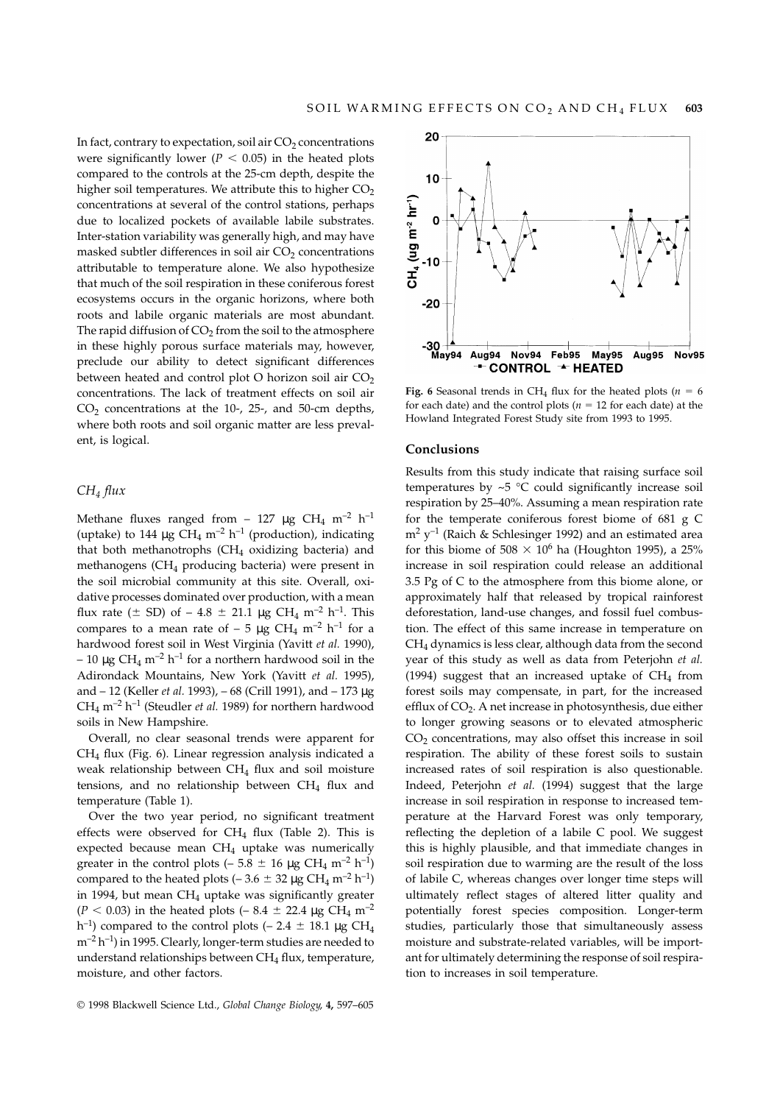In fact, contrary to expectation, soil air  $CO<sub>2</sub>$  concentrations were significantly lower ( $P < 0.05$ ) in the heated plots compared to the controls at the 25-cm depth, despite the higher soil temperatures. We attribute this to higher  $CO<sub>2</sub>$ concentrations at several of the control stations, perhaps due to localized pockets of available labile substrates. Inter-station variability was generally high, and may have masked subtler differences in soil air  $CO<sub>2</sub>$  concentrations attributable to temperature alone. We also hypothesize that much of the soil respiration in these coniferous forest ecosystems occurs in the organic horizons, where both roots and labile organic materials are most abundant. The rapid diffusion of  $CO<sub>2</sub>$  from the soil to the atmosphere in these highly porous surface materials may, however, preclude our ability to detect significant differences between heated and control plot O horizon soil air  $CO<sub>2</sub>$ concentrations. The lack of treatment effects on soil air  $CO<sub>2</sub>$  concentrations at the 10-, 25-, and 50-cm depths, where both roots and soil organic matter are less prevalent, is logical.

## *CH4 flux*

Methane fluxes ranged from - 127  $\mu$ g CH<sub>4</sub> m<sup>-2</sup> h<sup>-1</sup> (uptake) to 144  $\mu$ g CH<sub>4</sub> m<sup>-2</sup> h<sup>-1</sup> (production), indicating that both methanotrophs  $(CH_4$  oxidizing bacteria) and methanogens (CH4 producing bacteria) were present in the soil microbial community at this site. Overall, oxidative processes dominated over production, with a mean flux rate ( $\pm$  SD) of – 4.8  $\pm$  21.1 µg CH<sub>4</sub> m<sup>-2</sup> h<sup>-1</sup>. This compares to a mean rate of  $-5 \mu g$  CH<sub>4</sub> m<sup>-2</sup> h<sup>-1</sup> for a hardwood forest soil in West Virginia (Yavitt *et al.* 1990),  $-10 \mu$ g CH<sub>4</sub> m<sup>-2</sup> h<sup>-1</sup> for a northern hardwood soil in the Adirondack Mountains, New York (Yavitt *et al.* 1995), and – 12 (Keller *et al.* 1993), – 68 (Crill 1991), and – 173 µg  $CH_4$  m<sup>-2</sup> h<sup>-1</sup> (Steudler *et al.* 1989) for northern hardwood soils in New Hampshire.

Overall, no clear seasonal trends were apparent for CH4 flux (Fig. 6). Linear regression analysis indicated a weak relationship between CH4 flux and soil moisture tensions, and no relationship between  $CH_4$  flux and temperature (Table 1).

Over the two year period, no significant treatment effects were observed for  $CH_4$  flux (Table 2). This is expected because mean CH<sub>4</sub> uptake was numerically greater in the control plots (– 5.8  $\pm$  16 µg CH<sub>4</sub> m<sup>-2</sup> h<sup>-1</sup>) compared to the heated plots (– 3.6  $\pm$  32 µg CH<sub>4</sub> m<sup>-2</sup> h<sup>-1</sup>) in 1994, but mean  $CH_4$  uptake was significantly greater  $(P < 0.03)$  in the heated plots (– 8.4  $\pm$  22.4 µg CH<sub>4</sub> m<sup>-2</sup> h<sup>-1</sup>) compared to the control plots (– 2.4  $\pm$  18.1 µg CH<sub>4</sub>  $m^{-2} h^{-1}$ ) in 1995. Clearly, longer-term studies are needed to understand relationships between  $CH_4$  flux, temperature, moisture, and other factors.



Fig. 6 Seasonal trends in CH<sub>4</sub> flux for the heated plots ( $n = 6$ for each date) and the control plots ( $n = 12$  for each date) at the Howland Integrated Forest Study site from 1993 to 1995.

#### **Conclusions**

Results from this study indicate that raising surface soil temperatures by  $\sim$  5 °C could significantly increase soil respiration by 25–40%. Assuming a mean respiration rate for the temperate coniferous forest biome of 681 g C  $m^2$  y<sup>-1</sup> (Raich & Schlesinger 1992) and an estimated area for this biome of 508  $\times$  10<sup>6</sup> ha (Houghton 1995), a 25% increase in soil respiration could release an additional 3.5 Pg of C to the atmosphere from this biome alone, or approximately half that released by tropical rainforest deforestation, land-use changes, and fossil fuel combustion. The effect of this same increase in temperature on  $CH<sub>4</sub>$  dynamics is less clear, although data from the second year of this study as well as data from Peterjohn *et al.* (1994) suggest that an increased uptake of  $CH<sub>4</sub>$  from forest soils may compensate, in part, for the increased efflux of  $CO<sub>2</sub>$ . A net increase in photosynthesis, due either to longer growing seasons or to elevated atmospheric  $CO<sub>2</sub>$  concentrations, may also offset this increase in soil respiration. The ability of these forest soils to sustain increased rates of soil respiration is also questionable. Indeed, Peterjohn *et al.* (1994) suggest that the large increase in soil respiration in response to increased temperature at the Harvard Forest was only temporary, reflecting the depletion of a labile C pool. We suggest this is highly plausible, and that immediate changes in soil respiration due to warming are the result of the loss of labile C, whereas changes over longer time steps will ultimately reflect stages of altered litter quality and potentially forest species composition. Longer-term studies, particularly those that simultaneously assess moisture and substrate-related variables, will be important for ultimately determining the response of soil respiration to increases in soil temperature.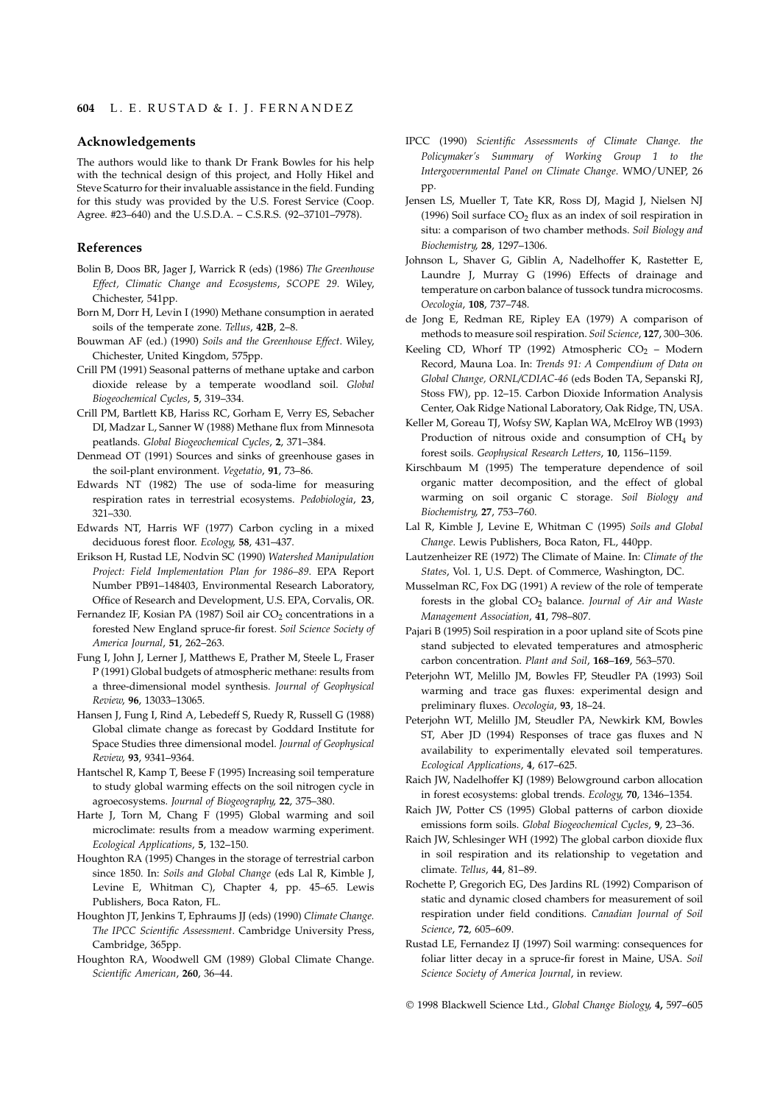#### **Acknowledgements**

The authors would like to thank Dr Frank Bowles for his help with the technical design of this project, and Holly Hikel and Steve Scaturro for their invaluable assistance in the field. Funding for this study was provided by the U.S. Forest Service (Coop. Agree. #23–640) and the U.S.D.A. – C.S.R.S. (92–37101–7978).

## **References**

- Bolin B, Doos BR, Jager J, Warrick R (eds) (1986) *The Greenhouse Effect, Climatic Change and Ecosystems*, *SCOPE 29*. Wiley, Chichester, 541pp.
- Born M, Dorr H, Levin I (1990) Methane consumption in aerated soils of the temperate zone. *Tellus*, **42B**, 2–8.
- Bouwman AF (ed.) (1990) *Soils and the Greenhouse Effect*. Wiley, Chichester, United Kingdom, 575pp.
- Crill PM (1991) Seasonal patterns of methane uptake and carbon dioxide release by a temperate woodland soil. *Global Biogeochemical Cycles*, **5**, 319–334.
- Crill PM, Bartlett KB, Hariss RC, Gorham E, Verry ES, Sebacher DI, Madzar L, Sanner W (1988) Methane flux from Minnesota peatlands. *Global Biogeochemical Cycles*, **2**, 371–384.
- Denmead OT (1991) Sources and sinks of greenhouse gases in the soil-plant environment. *Vegetatio*, **91**, 73–86.
- Edwards NT (1982) The use of soda-lime for measuring respiration rates in terrestrial ecosystems. *Pedobiologia*, **23**, 321–330.
- Edwards NT, Harris WF (1977) Carbon cycling in a mixed deciduous forest floor. *Ecology*, **58**, 431–437.
- Erikson H, Rustad LE, Nodvin SC (1990) *Watershed Manipulation Project: Field Implementation Plan for 1986–89*. EPA Report Number PB91–148403, Environmental Research Laboratory, Office of Research and Development, U.S. EPA, Corvalis, OR.
- Fernandez IF, Kosian PA (1987) Soil air  $CO<sub>2</sub>$  concentrations in a forested New England spruce-fir forest. *Soil Science Society of America Journal*, **51**, 262–263.
- Fung I, John J, Lerner J, Matthews E, Prather M, Steele L, Fraser P (1991) Global budgets of atmospheric methane: results from a three-dimensional model synthesis. *Journal of Geophysical Review*, **96**, 13033–13065.
- Hansen J, Fung I, Rind A, Lebedeff S, Ruedy R, Russell G (1988) Global climate change as forecast by Goddard Institute for Space Studies three dimensional model. *Journal of Geophysical Review*, **93**, 9341–9364.
- Hantschel R, Kamp T, Beese F (1995) Increasing soil temperature to study global warming effects on the soil nitrogen cycle in agroecosystems. *Journal of Biogeography*, **22**, 375–380.
- Harte J, Torn M, Chang F (1995) Global warming and soil microclimate: results from a meadow warming experiment. *Ecological Applications*, **5**, 132–150.
- Houghton RA (1995) Changes in the storage of terrestrial carbon since 1850. In: *Soils and Global Change* (eds Lal R, Kimble J, Levine E, Whitman C), Chapter 4, pp. 45–65. Lewis Publishers, Boca Raton, FL.
- Houghton JT, Jenkins T, Ephraums JJ (eds) (1990) *Climate Change. The IPCC Scientific Assessment*. Cambridge University Press, Cambridge, 365pp.
- Houghton RA, Woodwell GM (1989) Global Climate Change. *Scientific American*, **260**, 36–44.
- IPCC (1990) *Scientific Assessments of Climate Change. the Policymaker's Summary of Working Group 1 to the Intergovernmental Panel on Climate Change*. WMO/UNEP, 26 pp.
- Jensen LS, Mueller T, Tate KR, Ross DJ, Magid J, Nielsen NJ (1996) Soil surface  $CO<sub>2</sub>$  flux as an index of soil respiration in situ: a comparison of two chamber methods. *Soil Biology and Biochemistry*, **28**, 1297–1306.
- Johnson L, Shaver G, Giblin A, Nadelhoffer K, Rastetter E, Laundre J, Murray G (1996) Effects of drainage and temperature on carbon balance of tussock tundra microcosms. *Oecologia*, **108**, 737–748.
- de Jong E, Redman RE, Ripley EA (1979) A comparison of methods to measure soil respiration. *Soil Science*, **127**, 300–306.
- Keeling CD, Whorf TP (1992) Atmospheric  $CO<sub>2</sub>$  Modern Record, Mauna Loa. In: *Trends 91: A Compendium of Data on Global Change, ORNL/CDIAC-46* (eds Boden TA, Sepanski RJ, Stoss FW), pp. 12–15. Carbon Dioxide Information Analysis Center, Oak Ridge National Laboratory, Oak Ridge, TN, USA.
- Keller M, Goreau TJ, Wofsy SW, Kaplan WA, McElroy WB (1993) Production of nitrous oxide and consumption of  $CH<sub>4</sub>$  by forest soils. *Geophysical Research Letters*, **10**, 1156–1159.
- Kirschbaum M (1995) The temperature dependence of soil organic matter decomposition, and the effect of global warming on soil organic C storage. *Soil Biology and Biochemistry*, **27**, 753–760.
- Lal R, Kimble J, Levine E, Whitman C (1995) *Soils and Global Change*. Lewis Publishers, Boca Raton, FL, 440pp.
- Lautzenheizer RE (1972) The Climate of Maine. In: *Climate of the States*, Vol. 1, U.S. Dept. of Commerce, Washington, DC.
- Musselman RC, Fox DG (1991) A review of the role of temperate forests in the global CO2 balance. *Journal of Air and Waste Management Association*, **41**, 798–807.
- Pajari B (1995) Soil respiration in a poor upland site of Scots pine stand subjected to elevated temperatures and atmospheric carbon concentration. *Plant and Soil*, **168**–**169**, 563–570.
- Peterjohn WT, Melillo JM, Bowles FP, Steudler PA (1993) Soil warming and trace gas fluxes: experimental design and preliminary fluxes. *Oecologia*, **93**, 18–24.
- Peterjohn WT, Melillo JM, Steudler PA, Newkirk KM, Bowles ST, Aber JD (1994) Responses of trace gas fluxes and N availability to experimentally elevated soil temperatures. *Ecological Applications*, **4**, 617–625.
- Raich JW, Nadelhoffer KJ (1989) Belowground carbon allocation in forest ecosystems: global trends. *Ecology*, **70**, 1346–1354.
- Raich JW, Potter CS (1995) Global patterns of carbon dioxide emissions form soils. *Global Biogeochemical Cycles*, **9**, 23–36.
- Raich JW, Schlesinger WH (1992) The global carbon dioxide flux in soil respiration and its relationship to vegetation and climate. *Tellus*, **44**, 81–89.
- Rochette P, Gregorich EG, Des Jardins RL (1992) Comparison of static and dynamic closed chambers for measurement of soil respiration under field conditions. *Canadian Journal of Soil Science*, **72**, 605–609.
- Rustad LE, Fernandez IJ (1997) Soil warming: consequences for foliar litter decay in a spruce-fir forest in Maine, USA. *Soil Science Society of America Journal*, in review.

© 1998 Blackwell Science Ltd., *Global Change Biology*, **4,** 597–605